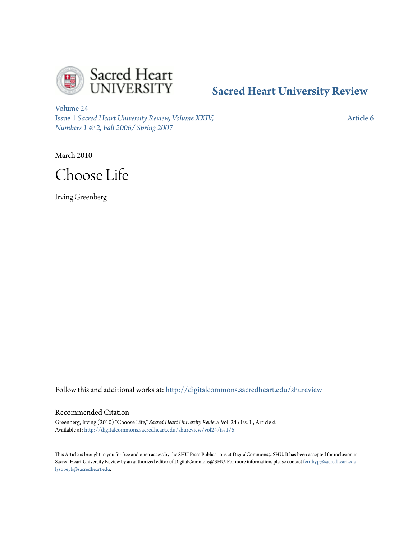

## **[Sacred Heart University Review](http://digitalcommons.sacredheart.edu/shureview?utm_source=digitalcommons.sacredheart.edu%2Fshureview%2Fvol24%2Fiss1%2F6&utm_medium=PDF&utm_campaign=PDFCoverPages)**

[Volume 24](http://digitalcommons.sacredheart.edu/shureview/vol24?utm_source=digitalcommons.sacredheart.edu%2Fshureview%2Fvol24%2Fiss1%2F6&utm_medium=PDF&utm_campaign=PDFCoverPages) Issue 1 *[Sacred Heart University Review, Volume XXIV,](http://digitalcommons.sacredheart.edu/shureview/vol24/iss1?utm_source=digitalcommons.sacredheart.edu%2Fshureview%2Fvol24%2Fiss1%2F6&utm_medium=PDF&utm_campaign=PDFCoverPages) [Numbers 1 & 2, Fall 2006/ Spring 2007](http://digitalcommons.sacredheart.edu/shureview/vol24/iss1?utm_source=digitalcommons.sacredheart.edu%2Fshureview%2Fvol24%2Fiss1%2F6&utm_medium=PDF&utm_campaign=PDFCoverPages)*

[Article 6](http://digitalcommons.sacredheart.edu/shureview/vol24/iss1/6?utm_source=digitalcommons.sacredheart.edu%2Fshureview%2Fvol24%2Fiss1%2F6&utm_medium=PDF&utm_campaign=PDFCoverPages)

March 2010



Irving Greenberg

Follow this and additional works at: [http://digitalcommons.sacredheart.edu/shureview](http://digitalcommons.sacredheart.edu/shureview?utm_source=digitalcommons.sacredheart.edu%2Fshureview%2Fvol24%2Fiss1%2F6&utm_medium=PDF&utm_campaign=PDFCoverPages)

#### Recommended Citation

Greenberg, Irving (2010) "Choose Life," *Sacred Heart University Review*: Vol. 24 : Iss. 1 , Article 6. Available at: [http://digitalcommons.sacredheart.edu/shureview/vol24/iss1/6](http://digitalcommons.sacredheart.edu/shureview/vol24/iss1/6?utm_source=digitalcommons.sacredheart.edu%2Fshureview%2Fvol24%2Fiss1%2F6&utm_medium=PDF&utm_campaign=PDFCoverPages)

This Article is brought to you for free and open access by the SHU Press Publications at DigitalCommons@SHU. It has been accepted for inclusion in Sacred Heart University Review by an authorized editor of DigitalCommons@SHU. For more information, please contact [ferribyp@sacredheart.edu,](mailto:ferribyp@sacredheart.edu,%20lysobeyb@sacredheart.edu) [lysobeyb@sacredheart.edu.](mailto:ferribyp@sacredheart.edu,%20lysobeyb@sacredheart.edu)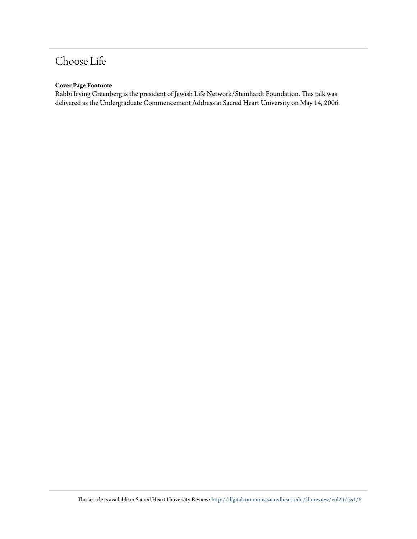# Choose Life

#### **Cover Page Footnote**

Rabbi Irving Greenberg is the president of Jewish Life Network/Steinhardt Foundation. This talk was delivered as the Undergraduate Commencement Address at Sacred Heart University on May 14, 2006.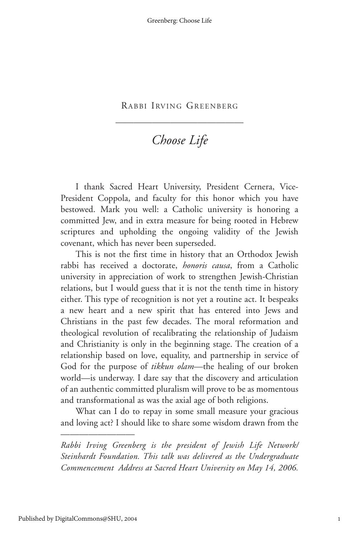——————————————

### *Choose Life*

I thank Sacred Heart University, President Cernera, Vice-President Coppola, and faculty for this honor which you have bestowed. Mark you well: a Catholic university is honoring a committed Jew, and in extra measure for being rooted in Hebrew scriptures and upholding the ongoing validity of the Jewish covenant, which has never been superseded.

This is not the first time in history that an Orthodox Jewish rabbi has received a doctorate, *honoris causa*, from a Catholic university in appreciation of work to strengthen Jewish-Christian relations, but I would guess that it is not the tenth time in history either. This type of recognition is not yet a routine act. It bespeaks a new heart and a new spirit that has entered into Jews and Christians in the past few decades. The moral reformation and theological revolution of recalibrating the relationship of Judaism and Christianity is only in the beginning stage. The creation of a relationship based on love, equality, and partnership in service of God for the purpose of *tikkun olam*—the healing of our broken world—is underway. I dare say that the discovery and articulation of an authentic committed pluralism will prove to be as momentous and transformational as was the axial age of both religions.

What can I do to repay in some small measure your gracious and loving act? I should like to share some wisdom drawn from the

————————

*Rabbi Irving Greenberg is the president of Jewish Life Network/ Steinhardt Foundation. This talk was delivered as the Undergraduate Commencement Address at Sacred Heart University on May 14, 2006.*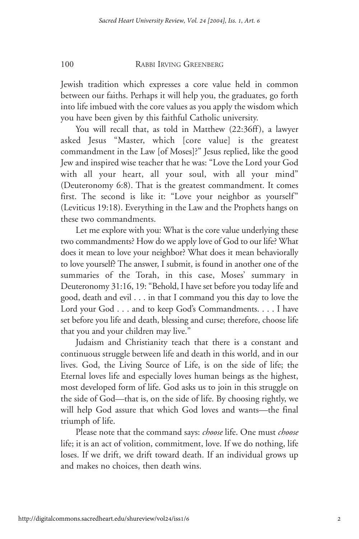Jewish tradition which expresses a core value held in common between our faiths. Perhaps it will help you, the graduates, go forth into life imbued with the core values as you apply the wisdom which you have been given by this faithful Catholic university.

You will recall that, as told in Matthew (22:36ff), a lawyer asked Jesus "Master, which [core value] is the greatest commandment in the Law [of Moses]?" Jesus replied, like the good Jew and inspired wise teacher that he was: "Love the Lord your God with all your heart, all your soul, with all your mind" (Deuteronomy 6:8). That is the greatest commandment. It comes first. The second is like it: "Love your neighbor as yourself" (Leviticus 19:18). Everything in the Law and the Prophets hangs on these two commandments.

Let me explore with you: What is the core value underlying these two commandments? How do we apply love of God to our life? What does it mean to love your neighbor? What does it mean behaviorally to love yourself? The answer, I submit, is found in another one of the summaries of the Torah, in this case, Moses' summary in Deuteronomy 31:16, 19: "Behold, I have set before you today life and good, death and evil . . . in that I command you this day to love the Lord your God . . . and to keep God's Commandments. . . . I have set before you life and death, blessing and curse; therefore, choose life that you and your children may live."

Judaism and Christianity teach that there is a constant and continuous struggle between life and death in this world, and in our lives. God, the Living Source of Life, is on the side of life; the Eternal loves life and especially loves human beings as the highest, most developed form of life. God asks us to join in this struggle on the side of God—that is, on the side of life. By choosing rightly, we will help God assure that which God loves and wants—the final triumph of life.

Please note that the command says: *choose* life. One must *choose* life; it is an act of volition, commitment, love. If we do nothing, life loses. If we drift, we drift toward death. If an individual grows up and makes no choices, then death wins.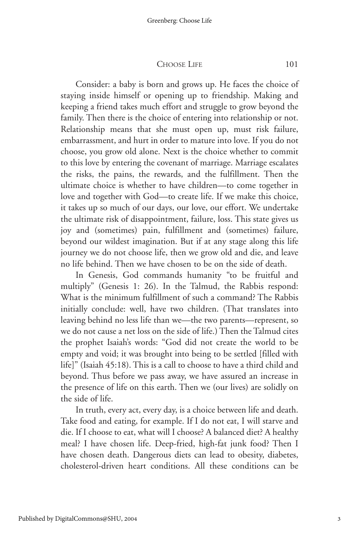#### CHOOSE LIFE 101

Consider: a baby is born and grows up. He faces the choice of staying inside himself or opening up to friendship. Making and keeping a friend takes much effort and struggle to grow beyond the family. Then there is the choice of entering into relationship or not. Relationship means that she must open up, must risk failure, embarrassment, and hurt in order to mature into love. If you do not choose, you grow old alone. Next is the choice whether to commit to this love by entering the covenant of marriage. Marriage escalates the risks, the pains, the rewards, and the fulfillment. Then the ultimate choice is whether to have children—to come together in love and together with God—to create life. If we make this choice, it takes up so much of our days, our love, our effort. We undertake the ultimate risk of disappointment, failure, loss. This state gives us joy and (sometimes) pain, fulfillment and (sometimes) failure, beyond our wildest imagination. But if at any stage along this life journey we do not choose life, then we grow old and die, and leave no life behind. Then we have chosen to be on the side of death.

In Genesis, God commands humanity "to be fruitful and multiply" (Genesis 1: 26). In the Talmud, the Rabbis respond: What is the minimum fulfillment of such a command? The Rabbis initially conclude: well, have two children. (That translates into leaving behind no less life than we—the two parents—represent, so we do not cause a net loss on the side of life.) Then the Talmud cites the prophet Isaiah's words: "God did not create the world to be empty and void; it was brought into being to be settled [filled with life]" (Isaiah 45:18). This is a call to choose to have a third child and beyond. Thus before we pass away, we have assured an increase in the presence of life on this earth. Then we (our lives) are solidly on the side of life.

In truth, every act, every day, is a choice between life and death. Take food and eating, for example. If I do not eat, I will starve and die. If I choose to eat, what will I choose? A balanced diet? A healthy meal? I have chosen life. Deep-fried, high-fat junk food? Then I have chosen death. Dangerous diets can lead to obesity, diabetes, cholesterol-driven heart conditions. All these conditions can be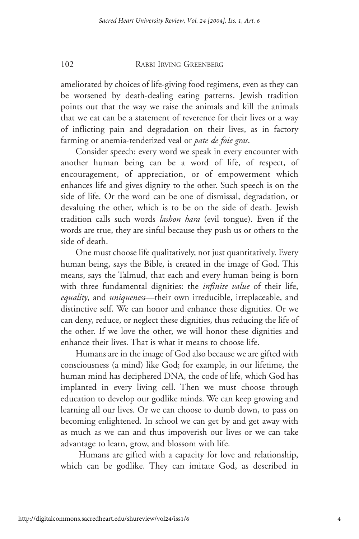ameliorated by choices of life-giving food regimens, even as they can be worsened by death-dealing eating patterns. Jewish tradition points out that the way we raise the animals and kill the animals that we eat can be a statement of reverence for their lives or a way of inflicting pain and degradation on their lives, as in factory farming or anemia-tenderized veal or *pate de foie gras*.

Consider speech: every word we speak in every encounter with another human being can be a word of life, of respect, of encouragement, of appreciation, or of empowerment which enhances life and gives dignity to the other. Such speech is on the side of life. Or the word can be one of dismissal, degradation, or devaluing the other, which is to be on the side of death. Jewish tradition calls such words *lashon hara* (evil tongue). Even if the words are true, they are sinful because they push us or others to the side of death.

One must choose life qualitatively, not just quantitatively. Every human being, says the Bible, is created in the image of God. This means, says the Talmud, that each and every human being is born with three fundamental dignities: the *infinite value* of their life, *equality*, and *uniqueness*—their own irreducible, irreplaceable, and distinctive self. We can honor and enhance these dignities. Or we can deny, reduce, or neglect these dignities, thus reducing the life of the other. If we love the other, we will honor these dignities and enhance their lives. That is what it means to choose life.

Humans are in the image of God also because we are gifted with consciousness (a mind) like God; for example, in our lifetime, the human mind has deciphered DNA, the code of life, which God has implanted in every living cell. Then we must choose through education to develop our godlike minds. We can keep growing and learning all our lives. Or we can choose to dumb down, to pass on becoming enlightened. In school we can get by and get away with as much as we can and thus impoverish our lives or we can take advantage to learn, grow, and blossom with life.

Humans are gifted with a capacity for love and relationship, which can be godlike. They can imitate God, as described in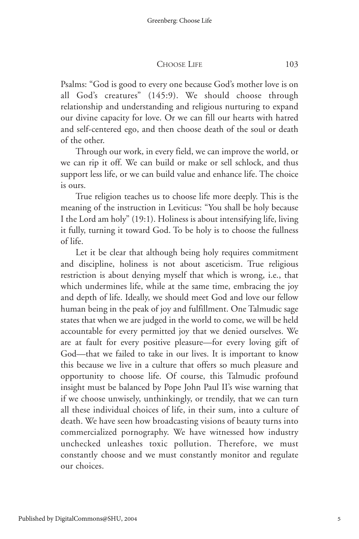CHOOSE LIFE 103

Psalms: "God is good to every one because God's mother love is on all God's creatures" (145:9). We should choose through relationship and understanding and religious nurturing to expand our divine capacity for love. Or we can fill our hearts with hatred and self-centered ego, and then choose death of the soul or death of the other.

Through our work, in every field, we can improve the world, or we can rip it off. We can build or make or sell schlock, and thus support less life, or we can build value and enhance life. The choice is ours.

True religion teaches us to choose life more deeply. This is the meaning of the instruction in Leviticus: "You shall be holy because I the Lord am holy" (19:1). Holiness is about intensifying life, living it fully, turning it toward God. To be holy is to choose the fullness of life.

Let it be clear that although being holy requires commitment and discipline, holiness is not about asceticism. True religious restriction is about denying myself that which is wrong, i.e., that which undermines life, while at the same time, embracing the joy and depth of life. Ideally, we should meet God and love our fellow human being in the peak of joy and fulfillment. One Talmudic sage states that when we are judged in the world to come, we will be held accountable for every permitted joy that we denied ourselves. We are at fault for every positive pleasure—for every loving gift of God—that we failed to take in our lives. It is important to know this because we live in a culture that offers so much pleasure and opportunity to choose life. Of course, this Talmudic profound insight must be balanced by Pope John Paul II's wise warning that if we choose unwisely, unthinkingly, or trendily, that we can turn all these individual choices of life, in their sum, into a culture of death. We have seen how broadcasting visions of beauty turns into commercialized pornography. We have witnessed how industry unchecked unleashes toxic pollution. Therefore, we must constantly choose and we must constantly monitor and regulate our choices.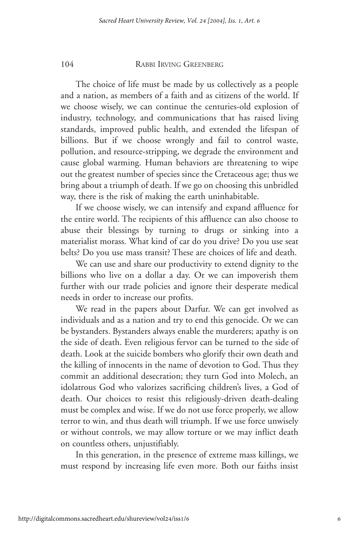The choice of life must be made by us collectively as a people and a nation, as members of a faith and as citizens of the world. If we choose wisely, we can continue the centuries-old explosion of industry, technology, and communications that has raised living standards, improved public health, and extended the lifespan of billions. But if we choose wrongly and fail to control waste, pollution, and resource-stripping, we degrade the environment and cause global warming. Human behaviors are threatening to wipe out the greatest number of species since the Cretaceous age; thus we bring about a triumph of death. If we go on choosing this unbridled way, there is the risk of making the earth uninhabitable.

If we choose wisely, we can intensify and expand affluence for the entire world. The recipients of this affluence can also choose to abuse their blessings by turning to drugs or sinking into a materialist morass. What kind of car do you drive? Do you use seat belts? Do you use mass transit? These are choices of life and death.

We can use and share our productivity to extend dignity to the billions who live on a dollar a day. Or we can impoverish them further with our trade policies and ignore their desperate medical needs in order to increase our profits.

We read in the papers about Darfur. We can get involved as individuals and as a nation and try to end this genocide. Or we can be bystanders. Bystanders always enable the murderers; apathy is on the side of death. Even religious fervor can be turned to the side of death. Look at the suicide bombers who glorify their own death and the killing of innocents in the name of devotion to God. Thus they commit an additional desecration; they turn God into Molech, an idolatrous God who valorizes sacrificing children's lives, a God of death. Our choices to resist this religiously-driven death-dealing must be complex and wise. If we do not use force properly, we allow terror to win, and thus death will triumph. If we use force unwisely or without controls, we may allow torture or we may inflict death on countless others, unjustifiably.

In this generation, in the presence of extreme mass killings, we must respond by increasing life even more. Both our faiths insist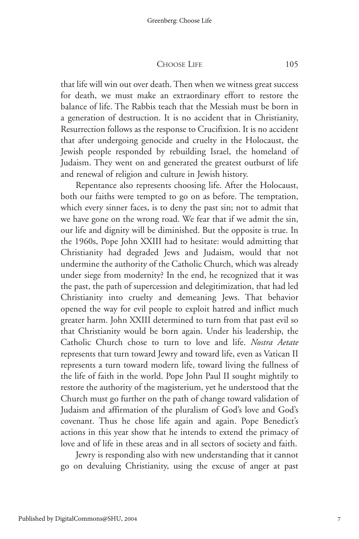CHOOSE LIFE 105

that life will win out over death. Then when we witness great success for death, we must make an extraordinary effort to restore the balance of life. The Rabbis teach that the Messiah must be born in a generation of destruction. It is no accident that in Christianity, Resurrection follows as the response to Crucifixion. It is no accident that after undergoing genocide and cruelty in the Holocaust, the Jewish people responded by rebuilding Israel, the homeland of Judaism. They went on and generated the greatest outburst of life and renewal of religion and culture in Jewish history.

Repentance also represents choosing life. After the Holocaust, both our faiths were tempted to go on as before. The temptation, which every sinner faces, is to deny the past sin; not to admit that we have gone on the wrong road. We fear that if we admit the sin, our life and dignity will be diminished. But the opposite is true. In the 1960s, Pope John XXIII had to hesitate: would admitting that Christianity had degraded Jews and Judaism, would that not undermine the authority of the Catholic Church, which was already under siege from modernity? In the end, he recognized that it was the past, the path of supercession and delegitimization, that had led Christianity into cruelty and demeaning Jews. That behavior opened the way for evil people to exploit hatred and inflict much greater harm. John XXIII determined to turn from that past evil so that Christianity would be born again. Under his leadership, the Catholic Church chose to turn to love and life. *Nostra Aetate* represents that turn toward Jewry and toward life, even as Vatican II represents a turn toward modern life, toward living the fullness of the life of faith in the world. Pope John Paul II sought mightily to restore the authority of the magisterium, yet he understood that the Church must go further on the path of change toward validation of Judaism and affirmation of the pluralism of God's love and God's covenant. Thus he chose life again and again. Pope Benedict's actions in this year show that he intends to extend the primacy of love and of life in these areas and in all sectors of society and faith.

Jewry is responding also with new understanding that it cannot go on devaluing Christianity, using the excuse of anger at past